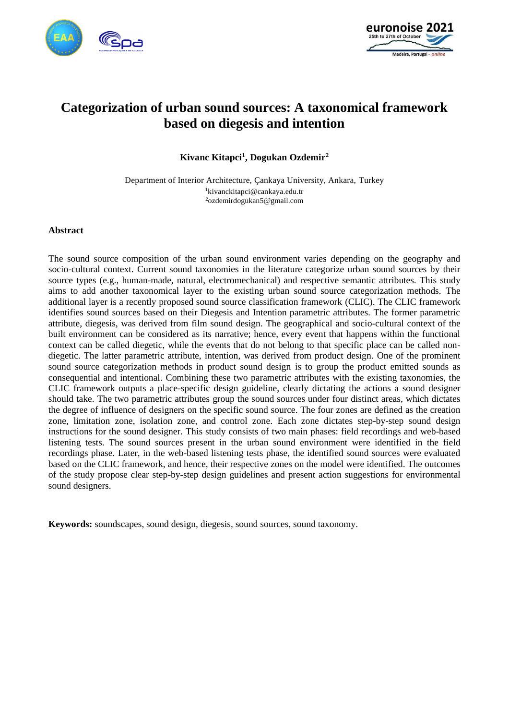



# **Categorization of urban sound sources: A taxonomical framework based on diegesis and intention**

**Kivanc Kitapci<sup>1</sup> , Dogukan Ozdemir<sup>2</sup>**

Department of Interior Architecture, Çankaya University, Ankara, Turkey <sup>1</sup>kivanckitapci@cankaya.edu.tr <sup>2</sup>ozdemirdogukan5@gmail.com

#### **Abstract**

The sound source composition of the urban sound environment varies depending on the geography and socio-cultural context. Current sound taxonomies in the literature categorize urban sound sources by their source types (e.g., human-made, natural, electromechanical) and respective semantic attributes. This study aims to add another taxonomical layer to the existing urban sound source categorization methods. The additional layer is a recently proposed sound source classification framework (CLIC). The CLIC framework identifies sound sources based on their Diegesis and Intention parametric attributes. The former parametric attribute, diegesis, was derived from film sound design. The geographical and socio-cultural context of the built environment can be considered as its narrative; hence, every event that happens within the functional context can be called diegetic, while the events that do not belong to that specific place can be called nondiegetic. The latter parametric attribute, intention, was derived from product design. One of the prominent sound source categorization methods in product sound design is to group the product emitted sounds as consequential and intentional. Combining these two parametric attributes with the existing taxonomies, the CLIC framework outputs a place-specific design guideline, clearly dictating the actions a sound designer should take. The two parametric attributes group the sound sources under four distinct areas, which dictates the degree of influence of designers on the specific sound source. The four zones are defined as the creation zone, limitation zone, isolation zone, and control zone. Each zone dictates step-by-step sound design instructions for the sound designer. This study consists of two main phases: field recordings and web-based listening tests. The sound sources present in the urban sound environment were identified in the field recordings phase. Later, in the web-based listening tests phase, the identified sound sources were evaluated based on the CLIC framework, and hence, their respective zones on the model were identified. The outcomes of the study propose clear step-by-step design guidelines and present action suggestions for environmental sound designers.

Keywords: soundscapes, sound design, diegesis, sound sources, sound taxonomy.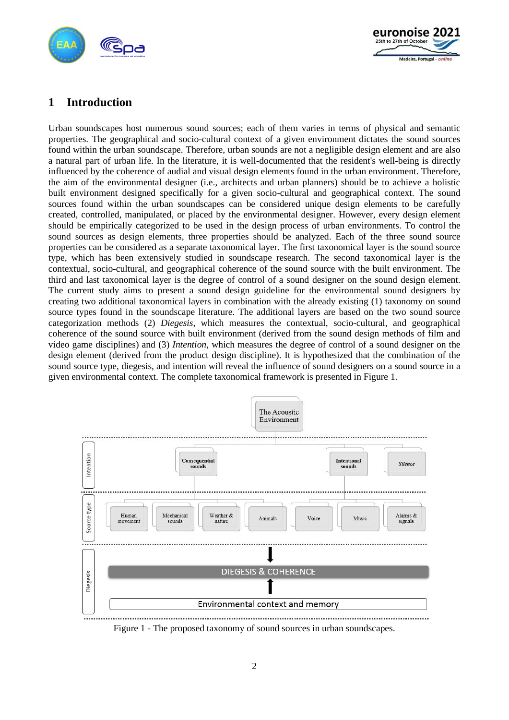



# **1 Introduction**

Urban soundscapes host numerous sound sources; each of them varies in terms of physical and semantic properties. The geographical and socio-cultural context of a given environment dictates the sound sources found within the urban soundscape. Therefore, urban sounds are not a negligible design element and are also a natural part of urban life. In the literature, it is well-documented that the resident's well-being is directly influenced by the coherence of audial and visual design elements found in the urban environment. Therefore, the aim of the environmental designer (i.e., architects and urban planners) should be to achieve a holistic built environment designed specifically for a given socio-cultural and geographical context. The sound sources found within the urban soundscapes can be considered unique design elements to be carefully created, controlled, manipulated, or placed by the environmental designer. However, every design element should be empirically categorized to be used in the design process of urban environments. To control the sound sources as design elements, three properties should be analyzed. Each of the three sound source properties can be considered as a separate taxonomical layer. The first taxonomical layer is the sound source type, which has been extensively studied in soundscape research. The second taxonomical layer is the contextual, socio-cultural, and geographical coherence of the sound source with the built environment. The third and last taxonomical layer is the degree of control of a sound designer on the sound design element. The current study aims to present a sound design guideline for the environmental sound designers by creating two additional taxonomical layers in combination with the already existing (1) taxonomy on sound source types found in the soundscape literature. The additional layers are based on the two sound source categorization methods (2) *Diegesis*, which measures the contextual, socio-cultural, and geographical coherence of the sound source with built environment (derived from the sound design methods of film and video game disciplines) and (3) *Intention*, which measures the degree of control of a sound designer on the design element (derived from the product design discipline). It is hypothesized that the combination of the sound source type, diegesis, and intention will reveal the influence of sound designers on a sound source in a given environmental context. The complete taxonomical framework is presented in Figure 1.



Figure 1 - The proposed taxonomy of sound sources in urban soundscapes.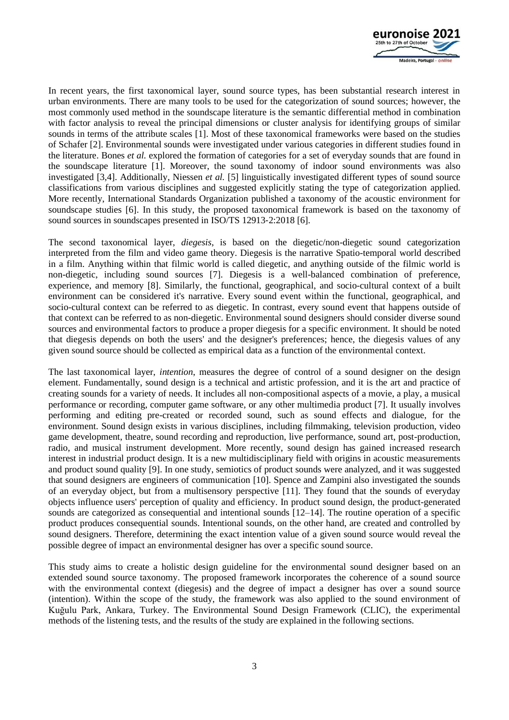

In recent years, the first taxonomical layer, sound source types, has been substantial research interest in urban environments. There are many tools to be used for the categorization of sound sources; however, the most commonly used method in the soundscape literature is the semantic differential method in combination with factor analysis to reveal the principal dimensions or cluster analysis for identifying groups of similar sounds in terms of the attribute scales [1]. Most of these taxonomical frameworks were based on the studies of Schafer [2]. Environmental sounds were investigated under various categories in different studies found in the literature. Bones *et al.* explored the formation of categories for a set of everyday sounds that are found in the soundscape literature [1]. Moreover, the sound taxonomy of indoor sound environments was also investigated [3,4]. Additionally, Niessen *et al.* [5] linguistically investigated different types of sound source classifications from various disciplines and suggested explicitly stating the type of categorization applied. More recently, International Standards Organization published a taxonomy of the acoustic environment for soundscape studies [6]. In this study, the proposed taxonomical framework is based on the taxonomy of sound sources in soundscapes presented in ISO/TS 12913-2:2018 [6].

The second taxonomical layer, *diegesis*, is based on the diegetic/non-diegetic sound categorization interpreted from the film and video game theory. Diegesis is the narrative Spatio-temporal world described in a film. Anything within that filmic world is called diegetic, and anything outside of the filmic world is non-diegetic, including sound sources [7]. Diegesis is a well-balanced combination of preference, experience, and memory [8]. Similarly, the functional, geographical, and socio-cultural context of a built environment can be considered it's narrative. Every sound event within the functional, geographical, and socio-cultural context can be referred to as diegetic. In contrast, every sound event that happens outside of that context can be referred to as non-diegetic. Environmental sound designers should consider diverse sound sources and environmental factors to produce a proper diegesis for a specific environment. It should be noted that diegesis depends on both the users' and the designer's preferences; hence, the diegesis values of any given sound source should be collected as empirical data as a function of the environmental context.

The last taxonomical layer, *intention*, measures the degree of control of a sound designer on the design element. Fundamentally, sound design is a technical and artistic profession, and it is the art and practice of creating sounds for a variety of needs. It includes all non-compositional aspects of a movie, a play, a musical performance or recording, computer game software, or any other multimedia product [7]. It usually involves performing and editing pre-created or recorded sound, such as sound effects and dialogue, for the environment. Sound design exists in various disciplines, including filmmaking, television production, video game development, theatre, sound recording and reproduction, live performance, sound art, post-production, radio, and musical instrument development. More recently, sound design has gained increased research interest in industrial product design. It is a new multidisciplinary field with origins in acoustic measurements and product sound quality [9]. In one study, semiotics of product sounds were analyzed, and it was suggested that sound designers are engineers of communication [10]. Spence and Zampini also investigated the sounds of an everyday object, but from a multisensory perspective [11]. They found that the sounds of everyday objects influence users' perception of quality and efficiency. In product sound design, the product-generated sounds are categorized as consequential and intentional sounds [12–14]. The routine operation of a specific product produces consequential sounds. Intentional sounds, on the other hand, are created and controlled by sound designers. Therefore, determining the exact intention value of a given sound source would reveal the possible degree of impact an environmental designer has over a specific sound source.

This study aims to create a holistic design guideline for the environmental sound designer based on an extended sound source taxonomy. The proposed framework incorporates the coherence of a sound source with the environmental context (diegesis) and the degree of impact a designer has over a sound source (intention). Within the scope of the study, the framework was also applied to the sound environment of Kuğulu Park, Ankara, Turkey. The Environmental Sound Design Framework (CLIC), the experimental methods of the listening tests, and the results of the study are explained in the following sections.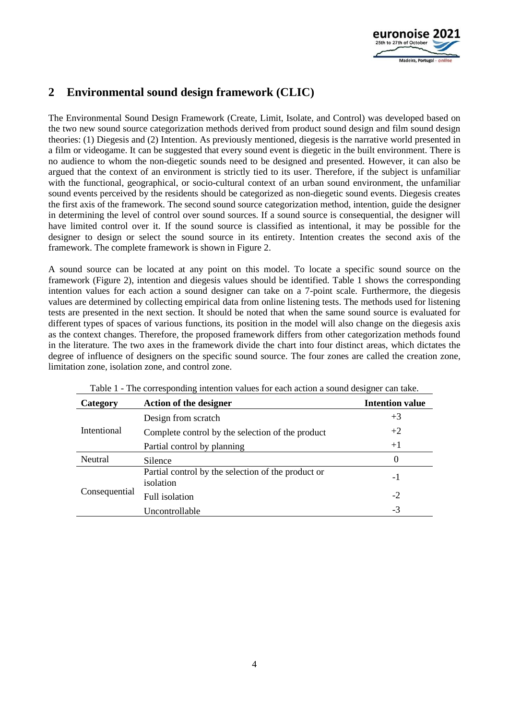

# **2 Environmental sound design framework (CLIC)**

The Environmental Sound Design Framework (Create, Limit, Isolate, and Control) was developed based on the two new sound source categorization methods derived from product sound design and film sound design theories: (1) Diegesis and (2) Intention. As previously mentioned, diegesis is the narrative world presented in a film or videogame. It can be suggested that every sound event is diegetic in the built environment. There is no audience to whom the non-diegetic sounds need to be designed and presented. However, it can also be argued that the context of an environment is strictly tied to its user. Therefore, if the subject is unfamiliar with the functional, geographical, or socio-cultural context of an urban sound environment, the unfamiliar sound events perceived by the residents should be categorized as non-diegetic sound events. Diegesis creates the first axis of the framework. The second sound source categorization method, intention, guide the designer in determining the level of control over sound sources. If a sound source is consequential, the designer will have limited control over it. If the sound source is classified as intentional, it may be possible for the designer to design or select the sound source in its entirety. Intention creates the second axis of the framework. The complete framework is shown in Figure 2.

A sound source can be located at any point on this model. To locate a specific sound source on the framework (Figure 2), intention and diegesis values should be identified. Table 1 shows the corresponding intention values for each action a sound designer can take on a 7-point scale. Furthermore, the diegesis values are determined by collecting empirical data from online listening tests. The methods used for listening tests are presented in the next section. It should be noted that when the same sound source is evaluated for different types of spaces of various functions, its position in the model will also change on the diegesis axis as the context changes. Therefore, the proposed framework differs from other categorization methods found in the literature. The two axes in the framework divide the chart into four distinct areas, which dictates the degree of influence of designers on the specific sound source. The four zones are called the creation zone, limitation zone, isolation zone, and control zone.

| Category       | <b>Action of the designer</b>                                   | <b>Intention value</b> |
|----------------|-----------------------------------------------------------------|------------------------|
| Intentional    | Design from scratch                                             | $+3$                   |
|                | Complete control by the selection of the product                | $+2$                   |
|                | Partial control by planning                                     | $+1$                   |
| <b>Neutral</b> | Silence                                                         | $\Omega$               |
| Consequential  | Partial control by the selection of the product or<br>isolation | -1                     |
|                | Full isolation                                                  | $-2$                   |
|                | Uncontrollable                                                  | $-3$                   |

Table 1 - The corresponding intention values for each action a sound designer can take.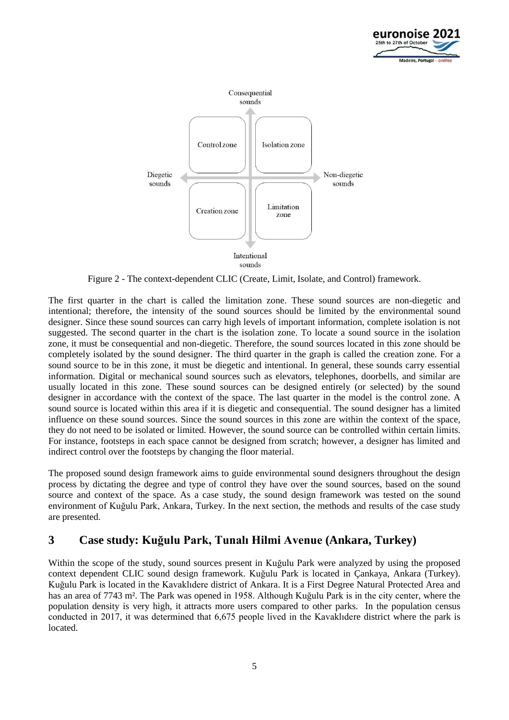



Figure 2 - The context-dependent CLIC (Create, Limit, Isolate, and Control) framework.

The first quarter in the chart is called the limitation zone. These sound sources are non-diegetic and intentional; therefore, the intensity of the sound sources should be limited by the environmental sound designer. Since these sound sources can carry high levels of important information, complete isolation is not suggested. The second quarter in the chart is the isolation zone. To locate a sound source in the isolation zone, it must be consequential and non-diegetic. Therefore, the sound sources located in this zone should be completely isolated by the sound designer. The third quarter in the graph is called the creation zone. For a sound source to be in this zone, it must be diegetic and intentional. In general, these sounds carry essential information. Digital or mechanical sound sources such as elevators, telephones, doorbells, and similar are usually located in this zone. These sound sources can be designed entirely (or selected) by the sound designer in accordance with the context of the space. The last quarter in the model is the control zone. A sound source is located within this area if it is diegetic and consequential. The sound designer has a limited influence on these sound sources. Since the sound sources in this zone are within the context of the space, they do not need to be isolated or limited. However, the sound source can be controlled within certain limits. For instance, footsteps in each space cannot be designed from scratch; however, a designer has limited and indirect control over the footsteps by changing the floor material.

The proposed sound design framework aims to guide environmental sound designers throughout the design process by dictating the degree and type of control they have over the sound sources, based on the sound source and context of the space. As a case study, the sound design framework was tested on the sound environment of Kuğulu Park, Ankara, Turkey. In the next section, the methods and results of the case study are presented.

## **3 Case study: Kuğulu Park, Tunalı Hilmi Avenue (Ankara, Turkey)**

Within the scope of the study, sound sources present in Kuğulu Park were analyzed by using the proposed context dependent CLIC sound design framework. Kuğulu Park is located in Çankaya, Ankara (Turkey). Kuğulu Park is located in the Kavaklıdere district of Ankara. It is a First Degree Natural Protected Area and has an area of 7743 m<sup>2</sup>. The Park was opened in 1958. Although Kuğulu Park is in the city center, where the population density is very high, it attracts more users compared to other parks. In the population census conducted in 2017, it was determined that 6,675 people lived in the Kavaklıdere district where the park is located.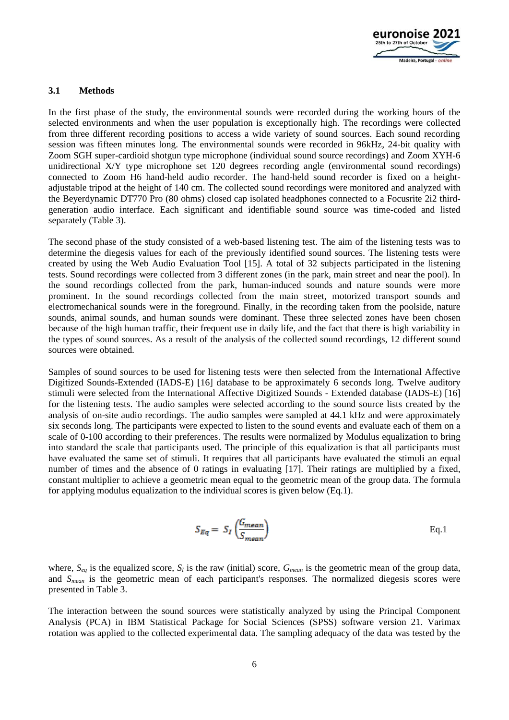

#### **3.1 Methods**

In the first phase of the study, the environmental sounds were recorded during the working hours of the selected environments and when the user population is exceptionally high. The recordings were collected from three different recording positions to access a wide variety of sound sources. Each sound recording session was fifteen minutes long. The environmental sounds were recorded in 96kHz, 24-bit quality with Zoom SGH super-cardioid shotgun type microphone (individual sound source recordings) and Zoom XYH-6 unidirectional X/Y type microphone set 120 degrees recording angle (environmental sound recordings) connected to Zoom H6 hand-held audio recorder. The hand-held sound recorder is fixed on a heightadjustable tripod at the height of 140 cm. The collected sound recordings were monitored and analyzed with the Beyerdynamic DT770 Pro (80 ohms) closed cap isolated headphones connected to a Focusrite 2i2 thirdgeneration audio interface. Each significant and identifiable sound source was time-coded and listed separately (Table 3).

The second phase of the study consisted of a web-based listening test. The aim of the listening tests was to determine the diegesis values for each of the previously identified sound sources. The listening tests were created by using the Web Audio Evaluation Tool [15]. A total of 32 subjects participated in the listening tests. Sound recordings were collected from 3 different zones (in the park, main street and near the pool). In the sound recordings collected from the park, human-induced sounds and nature sounds were more prominent. In the sound recordings collected from the main street, motorized transport sounds and electromechanical sounds were in the foreground. Finally, in the recording taken from the poolside, nature sounds, animal sounds, and human sounds were dominant. These three selected zones have been chosen because of the high human traffic, their frequent use in daily life, and the fact that there is high variability in the types of sound sources. As a result of the analysis of the collected sound recordings, 12 different sound sources were obtained.

Samples of sound sources to be used for listening tests were then selected from the International Affective Digitized Sounds-Extended (IADS-E) [16] database to be approximately 6 seconds long. Twelve auditory stimuli were selected from the International Affective Digitized Sounds - Extended database (IADS-E) [16] for the listening tests. The audio samples were selected according to the sound source lists created by the analysis of on-site audio recordings. The audio samples were sampled at 44.1 kHz and were approximately six seconds long. The participants were expected to listen to the sound events and evaluate each of them on a scale of 0-100 according to their preferences. The results were normalized by Modulus equalization to bring into standard the scale that participants used. The principle of this equalization is that all participants must have evaluated the same set of stimuli. It requires that all participants have evaluated the stimuli an equal number of times and the absence of 0 ratings in evaluating [17]. Their ratings are multiplied by a fixed, constant multiplier to achieve a geometric mean equal to the geometric mean of the group data. The formula for applying modulus equalization to the individual scores is given below (Eq.1).

$$
S_{Eq} = S_I \left( \frac{G_{mean}}{S_{mean}} \right)
$$
 Eq.1

where,  $S_{eq}$  is the equalized score,  $S_I$  is the raw (initial) score,  $G_{mean}$  is the geometric mean of the group data, and *Smean* is the geometric mean of each participant's responses. The normalized diegesis scores were presented in Table 3.

The interaction between the sound sources were statistically analyzed by using the Principal Component Analysis (PCA) in IBM Statistical Package for Social Sciences (SPSS) software version 21. Varimax rotation was applied to the collected experimental data. The sampling adequacy of the data was tested by the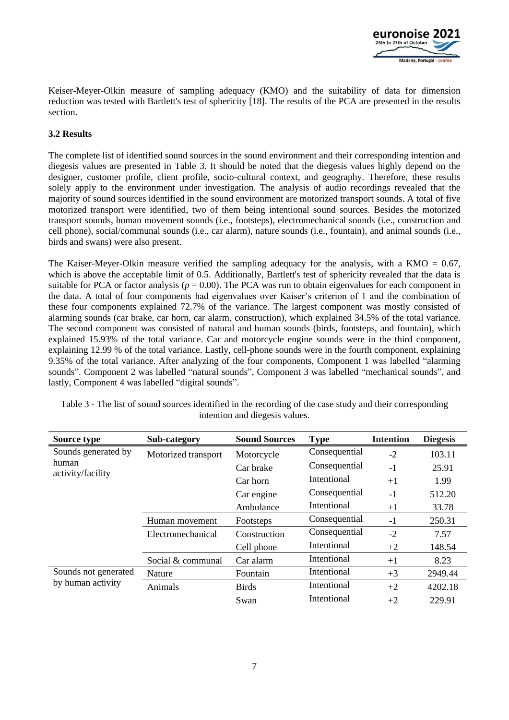

Keiser-Meyer-Olkin measure of sampling adequacy (KMO) and the suitability of data for dimension reduction was tested with Bartlett's test of sphericity [18]. The results of the PCA are presented in the results section.

#### **3.2 Results**

The complete list of identified sound sources in the sound environment and their corresponding intention and diegesis values are presented in Table 3. It should be noted that the diegesis values highly depend on the designer, customer profile, client profile, socio-cultural context, and geography. Therefore, these results solely apply to the environment under investigation. The analysis of audio recordings revealed that the majority of sound sources identified in the sound environment are motorized transport sounds. A total of five motorized transport were identified, two of them being intentional sound sources. Besides the motorized transport sounds, human movement sounds (i.e., footsteps), electromechanical sounds (i.e., construction and cell phone), social/communal sounds (i.e., car alarm), nature sounds (i.e., fountain), and animal sounds (i.e., birds and swans) were also present.

The Kaiser-Meyer-Olkin measure verified the sampling adequacy for the analysis, with a KMO  $= 0.67$ , which is above the acceptable limit of 0.5. Additionally, Bartlett's test of sphericity revealed that the data is suitable for PCA or factor analysis ( $p = 0.00$ ). The PCA was run to obtain eigenvalues for each component in the data. A total of four components had eigenvalues over Kaiser's criterion of 1 and the combination of these four components explained 72.7% of the variance. The largest component was mostly consisted of alarming sounds (car brake, car horn, car alarm, construction), which explained 34.5% of the total variance. The second component was consisted of natural and human sounds (birds, footsteps, and fountain), which explained 15.93% of the total variance. Car and motorcycle engine sounds were in the third component, explaining 12.99 % of the total variance. Lastly, cell-phone sounds were in the fourth component, explaining 9.35% of the total variance. After analyzing of the four components, Component 1 was labelled "alarming sounds". Component 2 was labelled "natural sounds", Component 3 was labelled "mechanical sounds", and lastly, Component 4 was labelled "digital sounds".

| <b>Source type</b>                                | Sub-category        | <b>Sound Sources</b> | <b>Type</b>   | <b>Intention</b> | <b>Diegesis</b> |
|---------------------------------------------------|---------------------|----------------------|---------------|------------------|-----------------|
| Sounds generated by<br>human<br>activity/facility | Motorized transport | Motorcycle           | Consequential | $-2$             | 103.11          |
|                                                   |                     | Car brake            | Consequential | $-1$             | 25.91           |
|                                                   |                     | Car horn             | Intentional   | $+1$             | 1.99            |
|                                                   |                     | Car engine           | Consequential | $-1$             | 512.20          |
|                                                   |                     | Ambulance            | Intentional   | $+1$             | 33.78           |
|                                                   | Human movement      | Footsteps            | Consequential | $-1$             | 250.31          |
|                                                   | Electromechanical   | Construction         | Consequential | $-2$             | 7.57            |
|                                                   |                     | Cell phone           | Intentional   | $+2$             | 148.54          |
|                                                   | Social & communal   | Car alarm            | Intentional   | $+1$             | 8.23            |
| Sounds not generated                              | Nature              | Fountain             | Intentional   | $+3$             | 2949.44         |
| by human activity                                 | Animals             | <b>Birds</b>         | Intentional   | $+2$             | 4202.18         |
|                                                   |                     | Swan                 | Intentional   | $+2$             | 229.91          |

Table 3 - The list of sound sources identified in the recording of the case study and their corresponding intention and diegesis values.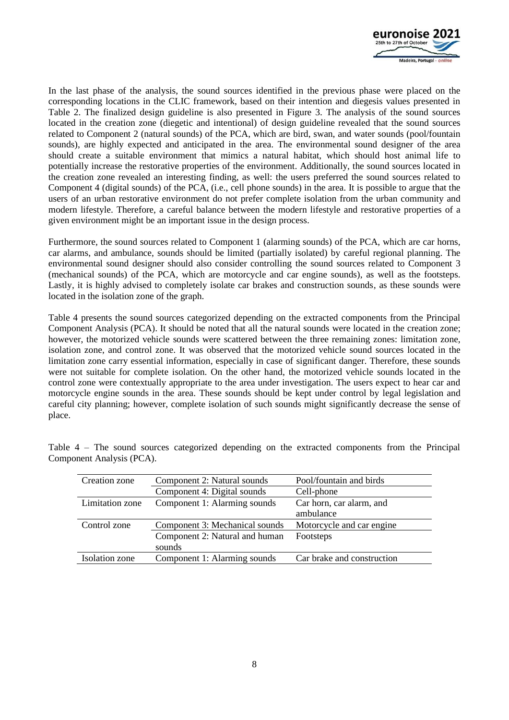

In the last phase of the analysis, the sound sources identified in the previous phase were placed on the corresponding locations in the CLIC framework, based on their intention and diegesis values presented in Table 2. The finalized design guideline is also presented in Figure 3. The analysis of the sound sources located in the creation zone (diegetic and intentional) of design guideline revealed that the sound sources related to Component 2 (natural sounds) of the PCA, which are bird, swan, and water sounds (pool/fountain sounds), are highly expected and anticipated in the area. The environmental sound designer of the area should create a suitable environment that mimics a natural habitat, which should host animal life to potentially increase the restorative properties of the environment. Additionally, the sound sources located in the creation zone revealed an interesting finding, as well: the users preferred the sound sources related to Component 4 (digital sounds) of the PCA, (i.e., cell phone sounds) in the area. It is possible to argue that the users of an urban restorative environment do not prefer complete isolation from the urban community and modern lifestyle. Therefore, a careful balance between the modern lifestyle and restorative properties of a given environment might be an important issue in the design process.

Furthermore, the sound sources related to Component 1 (alarming sounds) of the PCA, which are car horns, car alarms, and ambulance, sounds should be limited (partially isolated) by careful regional planning. The environmental sound designer should also consider controlling the sound sources related to Component 3 (mechanical sounds) of the PCA, which are motorcycle and car engine sounds), as well as the footsteps. Lastly, it is highly advised to completely isolate car brakes and construction sounds, as these sounds were located in the isolation zone of the graph.

Table 4 presents the sound sources categorized depending on the extracted components from the Principal Component Analysis (PCA). It should be noted that all the natural sounds were located in the creation zone; however, the motorized vehicle sounds were scattered between the three remaining zones: limitation zone, isolation zone, and control zone. It was observed that the motorized vehicle sound sources located in the limitation zone carry essential information, especially in case of significant danger. Therefore, these sounds were not suitable for complete isolation. On the other hand, the motorized vehicle sounds located in the control zone were contextually appropriate to the area under investigation. The users expect to hear car and motorcycle engine sounds in the area. These sounds should be kept under control by legal legislation and careful city planning; however, complete isolation of such sounds might significantly decrease the sense of place.

| Creation zone   | Component 2: Natural sounds    | Pool/fountain and birds    |
|-----------------|--------------------------------|----------------------------|
|                 | Component 4: Digital sounds    | Cell-phone                 |
| Limitation zone | Component 1: Alarming sounds   | Car horn, car alarm, and   |
|                 |                                | ambulance                  |
| Control zone    | Component 3: Mechanical sounds | Motorcycle and car engine  |
|                 | Component 2: Natural and human | Footsteps                  |
|                 | sounds                         |                            |
| Isolation zone  | Component 1: Alarming sounds   | Car brake and construction |

Table 4 – The sound sources categorized depending on the extracted components from the Principal Component Analysis (PCA).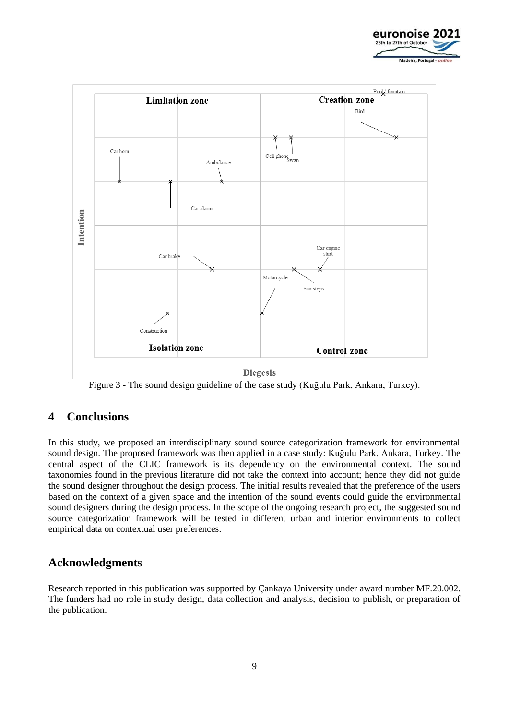



Figure 3 - The sound design guideline of the case study (Kuğulu Park, Ankara, Turkey).

## **4 Conclusions**

In this study, we proposed an interdisciplinary sound source categorization framework for environmental sound design. The proposed framework was then applied in a case study: Kuğulu Park, Ankara, Turkey. The central aspect of the CLIC framework is its dependency on the environmental context. The sound taxonomies found in the previous literature did not take the context into account; hence they did not guide the sound designer throughout the design process. The initial results revealed that the preference of the users based on the context of a given space and the intention of the sound events could guide the environmental sound designers during the design process. In the scope of the ongoing research project, the suggested sound source categorization framework will be tested in different urban and interior environments to collect empirical data on contextual user preferences.

## **Acknowledgments**

Research reported in this publication was supported by Çankaya University under award number MF.20.002. The funders had no role in study design, data collection and analysis, decision to publish, or preparation of the publication.